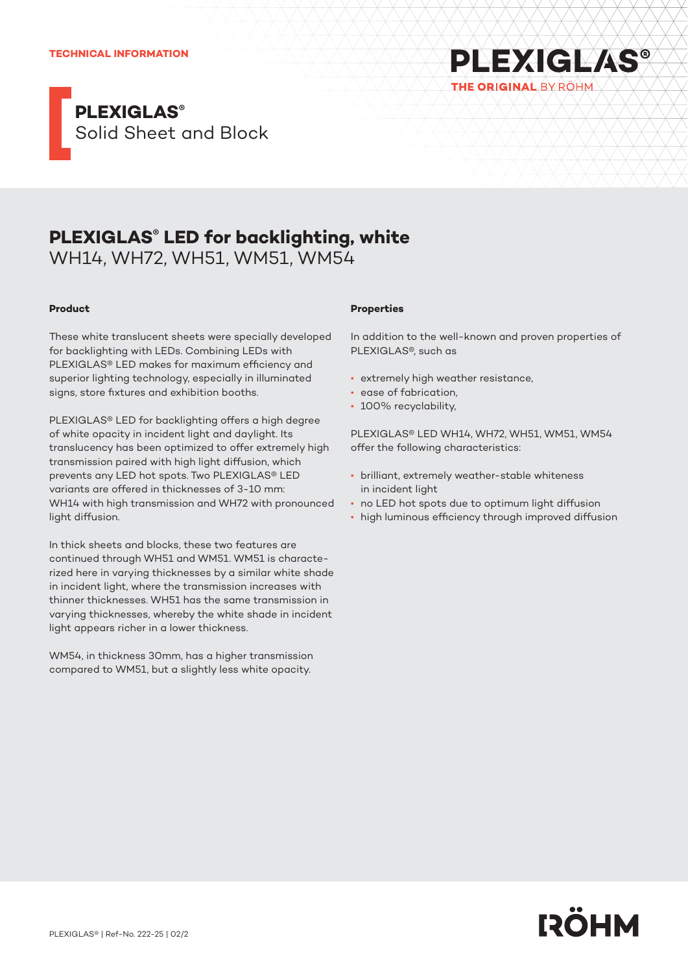#### **TECHNICAL INFORMATION**



# **PLEXIGLAS® LED for backlighting, white**

WH14, WH72, WH51, WM51, WM54

## **Product**

These white translucent sheets were specially developed for backlighting with LEDs. Combining LEDs with PLEXIGLAS® LED makes for maximum efficiency and superior lighting technology, especially in illuminated signs, store fixtures and exhibition booths.

PLEXIGLAS® LED for backlighting offers a high degree of white opacity in incident light and daylight. Its translucency has been optimized to offer extremely high transmission paired with high light diffusion, which prevents any LED hot spots. Two PLEXIGLAS® LED variants are offered in thicknesses of 3-10 mm: WH14 with high transmission and WH72 with pronounced light diffusion.

In thick sheets and blocks, these two features are continued through WH51 and WM51. WM51 is characterized here in varying thicknesses by a similar white shade in incident light, where the transmission increases with thinner thicknesses. WH51 has the same transmission in varying thicknesses, whereby the white shade in incident light appears richer in a lower thickness.

WM54, in thickness 30mm, has a higher transmission compared to WM51, but a slightly less white opacity.

### **Properties**

In addition to the well-known and proven properties of PLEXIGLAS®, such as

**PLEXIGLAS®** 

THE ORIGINAL BY ROHM

- extremely high weather resistance,
- ease of fabrication,
- 100% recyclability,

PLEXIGLAS® LED WH14, WH72, WH51, WM51, WM54 offer the following characteristics:

- brilliant, extremely weather-stable whiteness in incident light
- no LED hot spots due to optimum light diffusion
- high luminous efficiency through improved diffusion

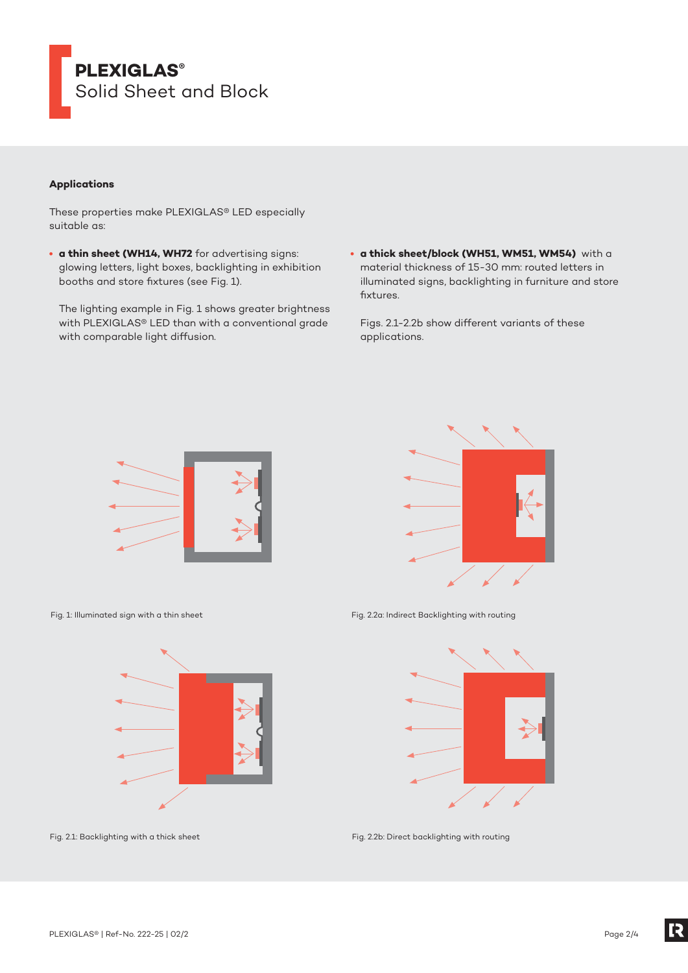

## **Applications**

These properties make PLEXIGLAS® LED especially suitable as:

**• a thin sheet (WH14, WH72** for advertising signs: glowing letters, light boxes, backlighting in exhibition booths and store fixtures (see Fig. 1).

The lighting example in Fig. 1 shows greater brightness with PLEXIGLAS® LED than with a conventional grade with comparable light diffusion.

**• a thick sheet/block (WH51, WM51, WM54)** with a material thickness of 15-30 mm: routed letters in illuminated signs, backlighting in furniture and store fixtures.

Figs. 2.1-2.2b show different variants of these applications.





Fig. 1: Illuminated sign with a thin sheet



Fig. 2.1: Backlighting with a thick sheet

Fig. 2.2a: Indirect Backlighting with routing



Fig. 2.2b: Direct backlighting with routing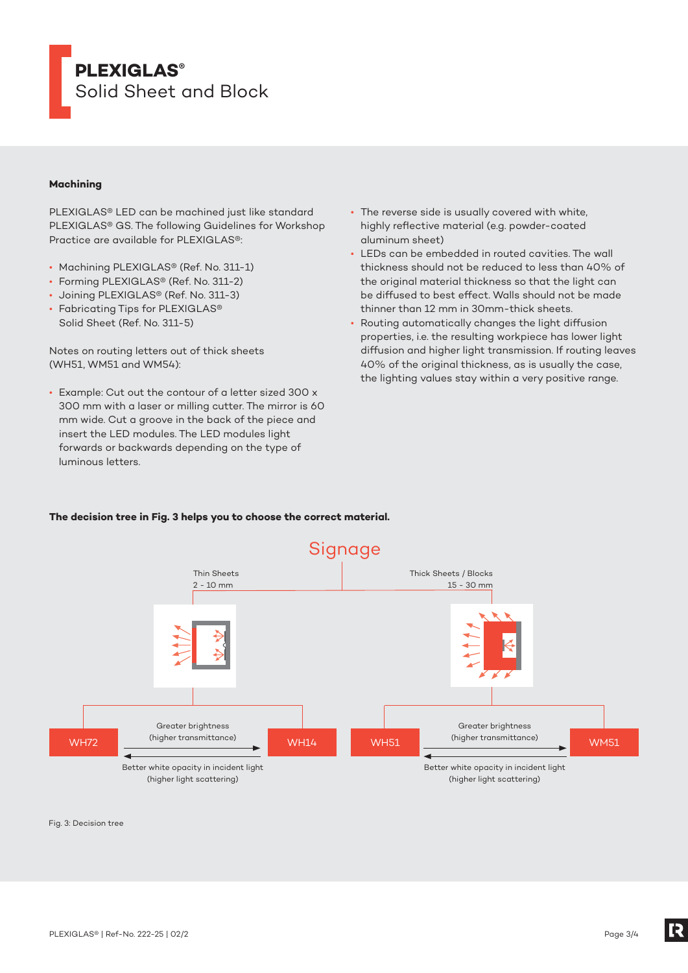

## **Machining**

PLEXIGLAS® LED can be machined just like standard PLEXIGLAS® GS. The following Guidelines for Workshop Practice are available for PLEXIGLAS®:

- Machining PLEXIGLAS® (Ref. No. 311-1)
- Forming PLEXIGLAS® (Ref. No. 311-2)
- Joining PLEXIGLAS® (Ref. No. 311-3)
- Fabricating Tips for PLEXIGLAS® Solid Sheet (Ref. No. 311-5)

Notes on routing letters out of thick sheets (WH51, WM51 and WM54):

• Example: Cut out the contour of a letter sized 300 x 300 mm with a laser or milling cutter. The mirror is 60 mm wide. Cut a groove in the back of the piece and insert the LED modules. The LED modules light forwards or backwards depending on the type of luminous letters.

- The reverse side is usually covered with white, highly reflective material (e.g. powder-coated aluminum sheet)
- LEDs can be embedded in routed cavities. The wall thickness should not be reduced to less than 40% of the original material thickness so that the light can be diffused to best effect. Walls should not be made thinner than 12 mm in 30mm-thick sheets.
- Routing automatically changes the light diffusion properties, i.e. the resulting workpiece has lower light diffusion and higher light transmission. If routing leaves 40% of the original thickness, as is usually the case, the lighting values stay within a very positive range.

### **The decision tree in Fig. 3 helps you to choose the correct material.**



Fig. 3: Decision tree